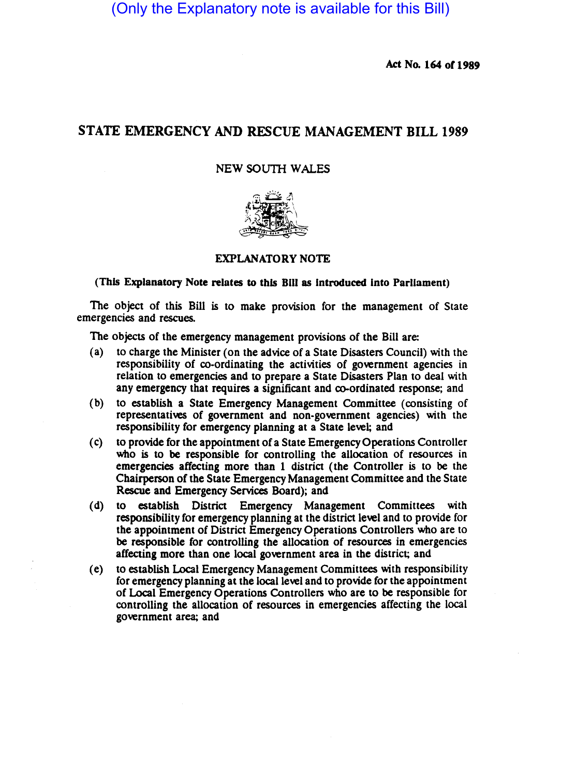(Only the Explanatory note is available for this Bill)

Act No. 164 or 1989

# STATE EMERGENCY AND RESCUE MANAGEMENT BILL 1989

## NEW SOUTH WALES



## EXPLANATORY NOTE

(This Explanatory Note relates to this Bill as introduced into Parliament)

The object of this Bill is to make provision for the management of State emergencies and rescues.

The objects of the emergency management provisions of the Bill are:

- (a) to charge the Minister (on the advice of a State Disasters Council) with the responsibility of co-ordinating the activities of government agencies in relation to emergencies and to prepare a State Disasters Plan to deal with any emergency that requires a significant and co-ordinated response; and
- (b) to establish a State Emergency Management Committee (consisting of representatives of government and non-government agencies) with the responsibility for emergency planning at a State level; and
- (c) to provide for the appointment of a State Emergency Operations Controller who is to be responsible for controlling the allocation of resources in emergencies affecting more than 1 district (the Controller is to be the Chairperson of the State Emergency Management Committee and the State Rescue and Emergency Services Board); and
- (d) to establish District Emergency Management Committees with responsibility for emergency planning at the district level and to provide for the appointment of District Emergency Operations Controllers who are to be responsible for controlling the allocation of resources in emergencies affecting more than one local government area in the district; and
- (e) to establish Local Emergency Management Committees with responsibility for emergency planning at the local level and to provide for the appointment of Local Emergency OperatiOns Controllers who are to be responsible for controlling the allocation of resources in emergencies affecting the local government area; and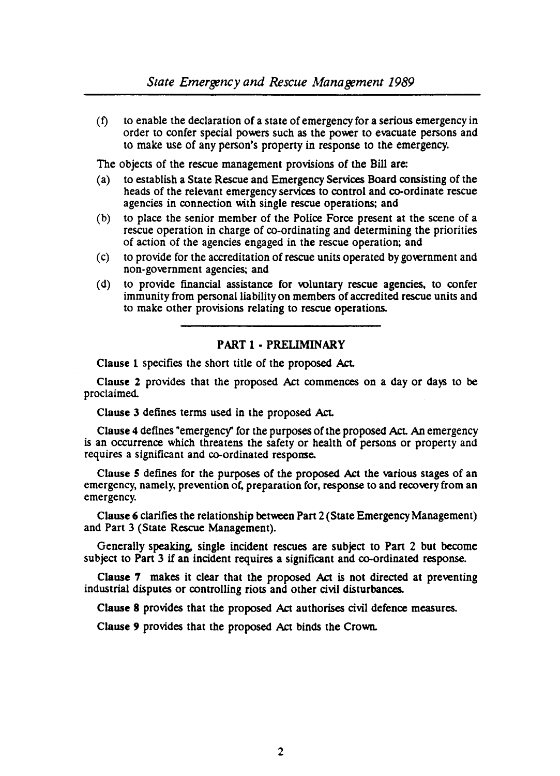$(f)$  to enable the declaration of a state of emergency for a serious emergency in order to confer special powers such as the power to evacuate persons and to make use of any person's property in response to the emergency.

The objects of the rescue management provisions of the Bill are:

- (a) to establish a State Rescue and Emergency Services Board consisting of the heads of the relevant emergency services to control and co-ordinate rescue agencies in connection with single rescue operations; and
- (b) to place the senior member of the Police Force present at the scene of a rescue operation in charge of co-ordinating and determining the priorities of action of the agencies engaged in the rescue operation; and
- (c) to provide for the accreditation of rescue units operated by government and non-government agencies; and
- (d) to provide financial assistance for voluntary rescue agencies, to confer immunity from personal liability on members of accredited rescue units and to make other provisions relating to rescue operations.

## PART 1 - PRELIMINARY

Clause 1 specifies the short title of the proposed Act.

Clause 2 provides that the proposed Act commences on a day or days to be proclaimed.

Clause 3 defines terms used in the proposed Act.

Clause 4 defines "emergency" for the purposes of the proposed Act. An emergency is an occurrence which threatens the safety or health of persons or property and requires a Significant and co-ordinated response.

Clause 5 defines for the purposes of the proposed Act the various stages of an emergency, namely, prevention of. preparation for, response to and recovery from an emergency.

Clause 6 clarifies the relationship between Part 2 (State Emergency Management) and Part 3 (State Rescue Management).

Generally speaking. single incident rescues are subject to Pan 2 but become subject to Part 3 if an incident requires a significant and co-ordinated response.

Clause 7 makes it clear that the proposed Act is not directed at preventing industrial disputes or controlling riots and other civil disturbances.

Clause 8 provides that the proposed Act authorises civil defence measures.

Clause 9 provides that the proposed Act binds the CroWD.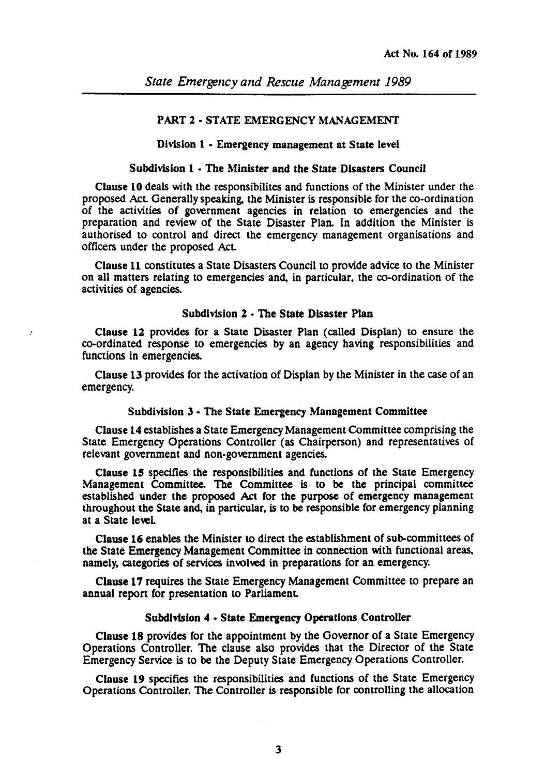## PART 2 - STATE EMERGENCY MANAGEMENT

## Division 1 - Emergency management at State level

## Subdivision 1 - The Minister and the State Disasters Council

Clause 10 deals with the responsibilites and functions of the Minister under the proposed Act Generally speaking. the Minister is responsible for the co-ordination of the activities of government agencies in relation to emergencies and the preparation and review of the State Disaster Plan. In addition the Minister is authorised to control and direct the emergency management organisations and officers under the proposed Act

Clause 11 constitutes a State Disasters Council to provide advice to the Minister on all matters relating to emergencies and. in panicular, the co-ordination of the activities of agencies.

#### Subdivision 2 - The State Disaster Plan

Clause 12 provides for a State Disaster Plan (called Displan) to ensure the co-ordinated response to emergencies by an agency having responsibilities and functions in emergencies.

Clause 13 provides for the activation of Displan by the Minister in the case of an emergency.

#### Subdivision 3 - The State Emergency Management Committee

Clause 14 establishes a State Emergency Management Committee comprising the State Emergency Operations Controller (as Chairperson) and representatives of relevant government and non-government agencies.

Clause 15 specifies the responsibilities and functions of the State Emergency Management Committee. The Committee is to be the principal committee established under the proposed Act for the purpose of emergency management throughout the State and. in panicular, is to be responsible for emergency planning at a State leveL

Clause 16 enables the Minister to direct the establishment of sub-committees of the State Emergency Management Committee in connection with functional areas, namely, categories of services involved in preparations for an emergency.

Clause 17 requires the State Emergency Management Committee to prepare an annual report for presentation to Parliament.

## Subdivision 4 - State Emergency Operations Controller

Clause 18 provides for the appointment by the Governor of a State Emergency Operations Controller. The clause also provides that the Director of the State Emergency Service is to be the Deputy State Emergency Operations Controller.

Clause 19 specifies the responsibilities and functions of the State Emergency Operations Controller. The Controller is responsible for controlling the allocation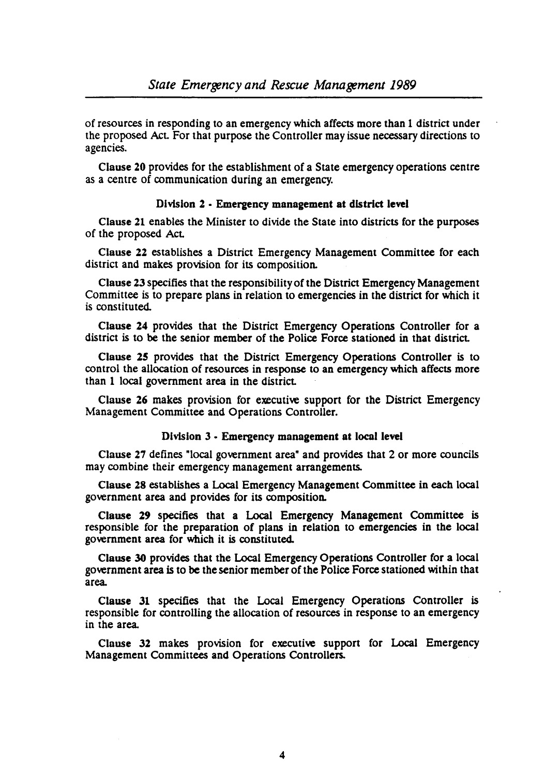of resources in responding to an emergency which affects more than 1 district under the proposed AcL For that purpose the Controller may issue necessary directions to agencies.

Clause 20 provides for the establishment of a State emergency operations centre as a centre of communication during an emergency.

## Division 2 - Emergency management at district level

Clause 21 enables the Minister to divide the State into districts for the purposes of the proposed AcL

Clause 22 establishes a District Emergency Management Committee for each district and makes provision for its composition.

Clause 23 specifies that the responsibility of the District Emergency Management Committee is to prepare plans in relation to emergencies in the district for which it is constituted.

Clause 24 provides that the District Emergency Operations Controller for a district is to be the senior member of the Police Force stationed in that district.

Clause 25 provides that the District Emergency Operations Controller is to control the allocation of resources in response to an emergency which affects more than 1 local government area in the district.

Clause 26 makes provision for executive support for the District Emergency Management Committee and Operations Controller.

## Division 3 • Emergency management at local level

Clause 27 defines "local government area" and provides that 2 or more councils may combine their emergency management arrangements.

Clause 28 establishes a Local Emergency Management Committee in each local government area and provides for its composition.

Clause 29 specifies that a Local Emergency Management Committee is responsible for the preparation of plans in relation to emergencies in the local government area for which it is constituted.

Clause 30 provides that the Local Emergency Operations Controller for a local government area is to be the senior member of the Police Force stationed within that area.

Clause 31 specifies that the Local Emergency Operations Controller is responsible for controlling the allocation of resources in response to an emergency in the area.

Clause 32 makes provision for executive support for Local Emergency Management Committees and Operations Controllers.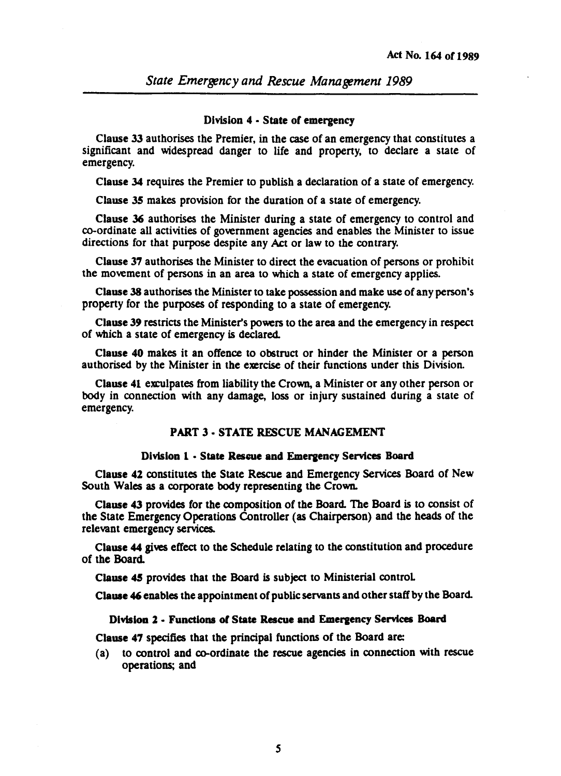### Division 4 • State of emergency

Clause 33 authorises the Premier, in the case of an emergency that constitutes a significant and widespread danger to life and propeny, to declare a state of emergency.

Clause 34 requires the Premier to publish a declaration of a state of emergency.

Clause 35 makes provision for the duration of a state of emergency.

Clause 36 authorises the Minister during a state of emergency to control and co-ordinate all activities of government agencies and enables the Minister to issue directions for that purpose despite any Act or law to the contrary.

Clause 37 authorises the Minister to direct the evacuation of persons or prohibit the movement of persons in an area to which a state of emergency applies.

Clause 38 authorises the Minister to take possession and make use of any person's property for the purposes of responding to a state of emergency.

Clause 39 restricts the Minister's powers to the area and the emergency in respect of which a state of emergency is declared.

Clause 40 makes it an offence to obstruct or hinder the Minister or a person authorised by the Minister in the exercise of their functions under this Division.

Clause 41 exculpates from liability the Crown, a Minister or any other person or body in connection with any damage, loss or injury sustained during a state of emergency.

## PART 3 - STATE RESCUE MANAGEMENT

### Division 1 • State Rescue and Emergency Services Board

Clause 42 constitutes the State Rescue and Emergency Services Board of New South Wales as a corporate body representing the Crown.

Clause 43 provides for the composition of the Board. The Board is to consist of the State Emergency Operations Controller (as Chairperson) and the heads of the relevant emergency services.

Clause 44 gives effect to the Schedule relating to the constitution and procedure of the Board.

Clause 4S provides that the Board is subject to Ministerial control

~Clause 46 enables the appointment of public servants and other staff by the Board.

### Division 2 - Functions of State Rescue and Emergency Services Board

Clause 47 specifies that the principal functions of the Board are:

(a) to control and co-ordinate the rescue agencies in connection with rescue operations; and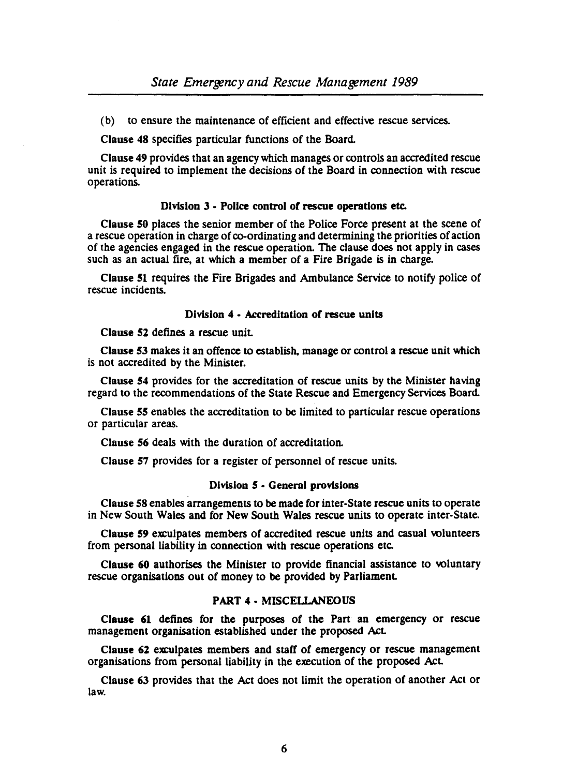(b) to ensure the maintenance of efficient and effective rescue services.

Clause 48 specifies panicular functions of the Board.

Clause 49 provides that an agency which manages or controls an accredited rescue unit is required to implement the decisions of the Board in connection with rescue operations.

# Division 3 • Police control of rescue operations etc.

Clause 50 places the senior member of the Police Force present at the scene of a rescue operation in charge of co-ordinating and determining the priorities of action of the agencies engaged in the rescue operation. The clause does not apply in cases such as an actual fire, at which a member of a Fire Brigade is in charge.

Clause 51 requires the Fire Brigades and Ambulance Service to notify police of rescue incidents.

# Division 4 - Accreditation of rescue units

Clause 52 defines a rescue unit

Clause 53 makes it an offence to establish. manage or control a rescue unit which is not accredited by the Minister.

Clause 54 provides for the accreditation of rescue units by the Minister having regard to the recommendations of the State Rescue and Emergency Services Board.

Clause 55 enables the accreditation to be limited to particular rescue operations or particular areas.

Clause 56 deals with the duration of accreditation.

Clause 57 provides for a register of personnel of rescue units.

## Division 5 - General provisions

Clause 58 enables arrangements to be made for inter-State rescue units to operate in New South Wales and for New South Wales rescue units to operate inter-State.

Clause 59 exculpates members of accredited rescue units and casual volunteers from personal liability in connection with rescue operations etc.

Clause 60 authorises the Minister to provide financial assistance to voluntary rescue organisations out of money to be provided by Parliament

# PART 4 • MISCELLANEOUS

Clause 61 defines for the purposes of the Part an emergency or rescue management organisation established under the proposed Act

Clause 62 exculpates members and staff of emergency or rescue management organisations from personal liability in the execution of the proposed Act

Clause 63 provides that the Act does not limit the operation of another Act or law.